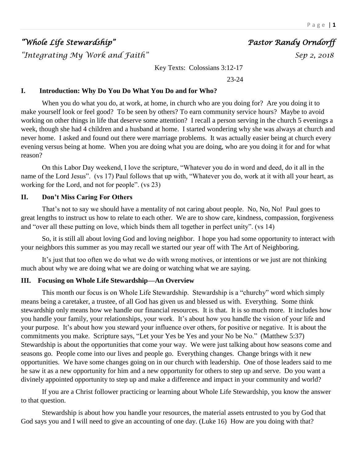# *"Whole Life Stewardship" Pastor Randy Orndorff*

*"Integrating My Work and Faith" Sep 2, 2018* 

Key Texts: Colossians 3:12-17

23-24

#### **I. Introduction: Why Do You Do What You Do and for Who?**

When you do what you do, at work, at home, in church who are you doing for? Are you doing it to make yourself look or feel good? To be seen by others? To earn community service hours? Maybe to avoid working on other things in life that deserve some attention? I recall a person serving in the church 5 evenings a week, though she had 4 children and a husband at home. I started wondering why she was always at church and never home. I asked and found out there were marriage problems. It was actually easier being at church every evening versus being at home. When you are doing what you are doing, who are you doing it for and for what reason?

On this Labor Day weekend, I love the scripture, "Whatever you do in word and deed, do it all in the name of the Lord Jesus". (vs 17) Paul follows that up with, "Whatever you do, work at it with all your heart, as working for the Lord, and not for people". (vs 23)

#### **II. Don't Miss Caring For Others**

That's not to say we should have a mentality of not caring about people. No, No, No! Paul goes to great lengths to instruct us how to relate to each other. We are to show care, kindness, compassion, forgiveness and "over all these putting on love, which binds them all together in perfect unity". (vs 14)

So, it is still all about loving God and loving neighbor. I hope you had some opportunity to interact with your neighbors this summer as you may recall we started our year off with The Art of Neighboring.

It's just that too often we do what we do with wrong motives, or intentions or we just are not thinking much about why we are doing what we are doing or watching what we are saying.

#### **III. Focusing on Whole Life Stewardship—An Overview**

This month our focus is on Whole Life Stewardship. Stewardship is a "churchy" word which simply means being a caretaker, a trustee, of all God has given us and blessed us with. Everything. Some think stewardship only means how we handle our financial resources. It is that. It is so much more. It includes how you handle your family, your relationships, your work. It's about how you handle the vision of your life and your purpose. It's about how you steward your influence over others, for positive or negative. It is about the commitments you make. Scripture says, "Let your Yes be Yes and your No be No." (Matthew 5:37) Stewardship is about the opportunities that come your way. We were just talking about how seasons come and seasons go. People come into our lives and people go. Everything changes. Change brings with it new opportunities. We have some changes going on in our church with leadership. One of those leaders said to me he saw it as a new opportunity for him and a new opportunity for others to step up and serve. Do you want a divinely appointed opportunity to step up and make a difference and impact in your community and world?

If you are a Christ follower practicing or learning about Whole Life Stewardship, you know the answer to that question.

Stewardship is about how you handle your resources, the material assets entrusted to you by God that God says you and I will need to give an accounting of one day. (Luke 16) How are you doing with that?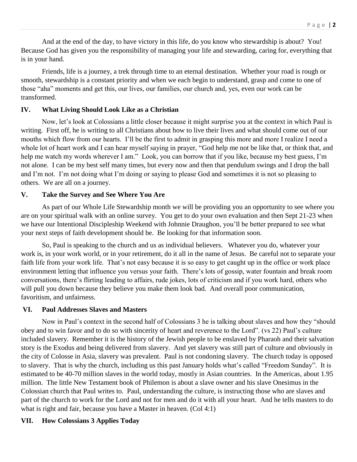And at the end of the day, to have victory in this life, do you know who stewardship is about? You! Because God has given you the responsibility of managing your life and stewarding, caring for, everything that is in your hand.

Friends, life is a journey, a trek through time to an eternal destination. Whether your road is rough or smooth, stewardship is a constant priority and when we each begin to understand, grasp and come to one of those "aha" moments and get this, our lives, our families, our church and, yes, even our work can be transformed.

## **IV. What Living Should Look Like as a Christian**

Now, let's look at Colossians a little closer because it might surprise you at the context in which Paul is writing. First off, he is writing to all Christians about how to live their lives and what should come out of our mouths which flow from our hearts. I'll be the first to admit in grasping this more and more I realize I need a whole lot of heart work and I can hear myself saying in prayer, "God help me not be like that, or think that, and help me watch my words wherever I am." Look, you can borrow that if you like, because my best guess, I'm not alone. I can be my best self many times, but every now and then that pendulum swings and I drop the ball and I'm not. I'm not doing what I'm doing or saying to please God and sometimes it is not so pleasing to others. We are all on a journey.

## **V. Take the Survey and See Where You Are**

As part of our Whole Life Stewardship month we will be providing you an opportunity to see where you are on your spiritual walk with an online survey. You get to do your own evaluation and then Sept 21-23 when we have our Intentional Discipleship Weekend with Johnnie Draughon, you'll be better prepared to see what your next steps of faith development should be. Be looking for that information soon.

So, Paul is speaking to the church and us as individual believers. Whatever you do, whatever your work is, in your work world, or in your retirement, do it all in the name of Jesus. Be careful not to separate your faith life from your work life. That's not easy because it is so easy to get caught up in the office or work place environment letting that influence you versus your faith. There's lots of gossip, water fountain and break room conversations, there's flirting leading to affairs, rude jokes, lots of criticism and if you work hard, others who will pull you down because they believe you make them look bad. And overall poor communication, favoritism, and unfairness.

#### **VI. Paul Addresses Slaves and Masters**

Now in Paul's context in the second half of Colossians 3 he is talking about slaves and how they "should obey and to win favor and to do so with sincerity of heart and reverence to the Lord". (vs 22) Paul's culture included slavery. Remember it is the history of the Jewish people to be enslaved by Pharaoh and their salvation story is the Exodus and being delivered from slavery. And yet slavery was still part of culture and obviously in the city of Colosse in Asia, slavery was prevalent. Paul is not condoning slavery. The church today is opposed to slavery. That is why the church, including us this past January holds what's called "Freedom Sunday". It is estimated to be 40-70 million slaves in the world today, mostly in Asian countries. In the Americas, about 1.95 million. The little New Testament book of Philemon is about a slave owner and his slave Onesimus in the Colossian church that Paul writes to. Paul, understanding the culture, is instructing those who are slaves and part of the church to work for the Lord and not for men and do it with all your heart. And he tells masters to do what is right and fair, because you have a Master in heaven. (Col 4:1)

## **VII. How Colossians 3 Applies Today**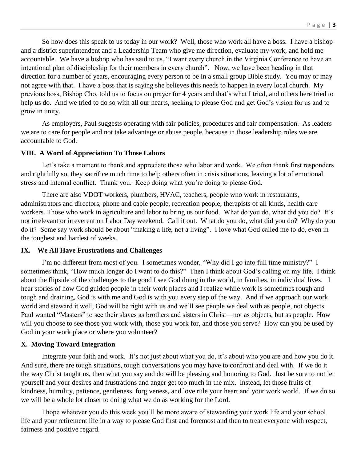So how does this speak to us today in our work? Well, those who work all have a boss. I have a bishop and a district superintendent and a Leadership Team who give me direction, evaluate my work, and hold me accountable. We have a bishop who has said to us, "I want every church in the Virginia Conference to have an intentional plan of discipleship for their members in every church". Now, we have been heading in that direction for a number of years, encouraging every person to be in a small group Bible study. You may or may not agree with that. I have a boss that is saying she believes this needs to happen in every local church. My previous boss, Bishop Cho, told us to focus on prayer for 4 years and that's what I tried, and others here tried to help us do. And we tried to do so with all our hearts, seeking to please God and get God's vision for us and to grow in unity.

As employers, Paul suggests operating with fair policies, procedures and fair compensation. As leaders we are to care for people and not take advantage or abuse people, because in those leadership roles we are accountable to God.

#### **VIII. A Word of Appreciation To Those Labors**

Let's take a moment to thank and appreciate those who labor and work. We often thank first responders and rightfully so, they sacrifice much time to help others often in crisis situations, leaving a lot of emotional stress and internal conflict. Thank you. Keep doing what you're doing to please God.

There are also VDOT workers, plumbers, HVAC, teachers, people who work in restaurants, administrators and directors, phone and cable people, recreation people, therapists of all kinds, health care workers. Those who work in agriculture and labor to bring us our food. What do you do, what did you do? It's not irrelevant or irreverent on Labor Day weekend. Call it out. What do you do, what did you do? Why do you do it? Some say work should be about "making a life, not a living". I love what God called me to do, even in the toughest and hardest of weeks.

#### **IX. We All Have Frustrations and Challenges**

I'm no different from most of you. I sometimes wonder, "Why did I go into full time ministry?" I sometimes think, "How much longer do I want to do this?" Then I think about God's calling on my life. I think about the flipside of the challenges to the good I see God doing in the world, in families, in individual lives. I hear stories of how God guided people in their work places and I realize while work is sometimes rough and tough and draining, God is with me and God is with you every step of the way. And if we approach our work world and steward it well, God will be right with us and we'll see people we deal with as people, not objects. Paul wanted "Masters" to see their slaves as brothers and sisters in Christ—not as objects, but as people. How will you choose to see those you work with, those you work for, and those you serve? How can you be used by God in your work place or where you volunteer?

#### **X. Moving Toward Integration**

Integrate your faith and work. It's not just about what you do, it's about who you are and how you do it. And sure, there are tough situations, tough conversations you may have to confront and deal with. If we do it the way Christ taught us, then what you say and do will be pleasing and honoring to God. Just be sure to not let yourself and your desires and frustrations and anger get too much in the mix. Instead, let those fruits of kindness, humility, patience, gentleness, forgiveness, and love rule your heart and your work world. If we do so we will be a whole lot closer to doing what we do as working for the Lord.

I hope whatever you do this week you'll be more aware of stewarding your work life and your school life and your retirement life in a way to please God first and foremost and then to treat everyone with respect, fairness and positive regard.